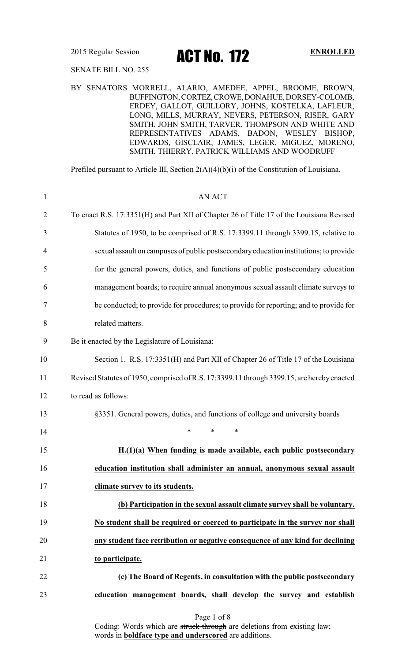2015 Regular Session **ACT No. 172** ENROLLED

### SENATE BILL NO. 255

BY SENATORS MORRELL, ALARIO, AMEDEE, APPEL, BROOME, BROWN, BUFFINGTON, CORTEZ, CROWE, DONAHUE, DORSEY-COLOMB, ERDEY, GALLOT, GUILLORY, JOHNS, KOSTELKA, LAFLEUR, LONG, MILLS, MURRAY, NEVERS, PETERSON, RISER, GARY SMITH, JOHN SMITH, TARVER, THOMPSON AND WHITE AND REPRESENTATIVES ADAMS, BADON, WESLEY BISHOP, EDWARDS, GISCLAIR, JAMES, LEGER, MIGUEZ, MORENO, SMITH, THIERRY, PATRICK WILLIAMS AND WOODRUFF

Prefiled pursuant to Article III, Section 2(A)(4)(b)(i) of the Constitution of Louisiana.

| $\mathbf{1}$   | <b>AN ACT</b>                                                                              |
|----------------|--------------------------------------------------------------------------------------------|
| $\overline{2}$ | To enact R.S. 17:3351(H) and Part XII of Chapter 26 of Title 17 of the Louisiana Revised   |
| 3              | Statutes of 1950, to be comprised of R.S. 17:3399.11 through 3399.15, relative to          |
| 4              | sexual assault on campuses of public postsecondary education institutions; to provide      |
| 5              | for the general powers, duties, and functions of public postsecondary education            |
| 6              | management boards; to require annual anonymous sexual assault climate surveys to           |
| 7              | be conducted; to provide for procedures; to provide for reporting; and to provide for      |
| 8              | related matters.                                                                           |
| 9              | Be it enacted by the Legislature of Louisiana:                                             |
| 10             | Section 1. R.S. 17:3351(H) and Part XII of Chapter 26 of Title 17 of the Louisiana         |
| 11             | Revised Statutes of 1950, comprised of R.S. 17:3399.11 through 3399.15, are hereby enacted |
| 12             | to read as follows:                                                                        |
| 13             | §3351. General powers, duties, and functions of college and university boards              |
| 14             | $\ast$<br>$\ast$<br>$\ast$                                                                 |
| 15             | $H(1)(a)$ When funding is made available, each public postsecondary                        |
| 16             | education institution shall administer an annual, anonymous sexual assault                 |
| 17             | climate survey to its students.                                                            |
| 18             | (b) Participation in the sexual assault climate survey shall be voluntary.                 |
| 19             | No student shall be required or coerced to participate in the survey nor shall             |
| 20             | any student face retribution or negative consequence of any kind for declining             |
| 21             | to participate.                                                                            |
| 22             | (c) The Board of Regents, in consultation with the public postsecondary                    |
| 23             | education management boards, shall develop the survey and establish                        |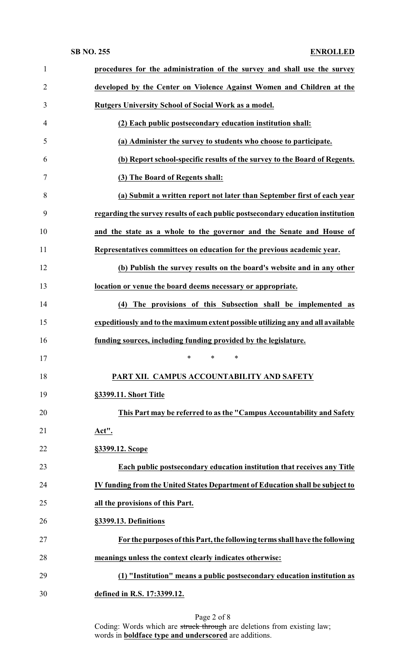### **SB NO. 255 ENROLLED**

| $\mathbf{1}$   | procedures for the administration of the survey and shall use the survey         |
|----------------|----------------------------------------------------------------------------------|
| $\overline{2}$ | developed by the Center on Violence Against Women and Children at the            |
| 3              | <b>Rutgers University School of Social Work as a model.</b>                      |
| $\overline{4}$ | (2) Each public postsecondary education institution shall:                       |
| 5              | (a) Administer the survey to students who choose to participate.                 |
| 6              | (b) Report school-specific results of the survey to the Board of Regents.        |
| $\tau$         | (3) The Board of Regents shall:                                                  |
| 8              | (a) Submit a written report not later than September first of each year          |
| 9              | regarding the survey results of each public postsecondary education institution  |
| 10             | and the state as a whole to the governor and the Senate and House of             |
| 11             | Representatives committees on education for the previous academic year.          |
| 12             | (b) Publish the survey results on the board's website and in any other           |
| 13             | location or venue the board deems necessary or appropriate.                      |
| 14             | (4) The provisions of this Subsection shall be implemented as                    |
| 15             | expeditiously and to the maximum extent possible utilizing any and all available |
| 16             | funding sources, including funding provided by the legislature.                  |
| 17             | ∗<br>$\ast$<br>∗                                                                 |
| 18             | PART XII. CAMPUS ACCOUNTABILITY AND SAFETY                                       |
| 19             | §3399.11. Short Title                                                            |
| 20             | This Part may be referred to as the "Campus Accountability and Safety            |
| 21             | <u>Act".</u>                                                                     |
| 22             | §3399.12. Scope                                                                  |
| 23             | Each public postsecondary education institution that receives any Title          |
| 24             | IV funding from the United States Department of Education shall be subject to    |
| 25             | all the provisions of this Part.                                                 |
| 26             | §3399.13. Definitions                                                            |
| 27             | For the purposes of this Part, the following terms shall have the following      |
| 28             | meanings unless the context clearly indicates otherwise:                         |
| 29             | (1) "Institution" means a public postsecondary education institution as          |
|                |                                                                                  |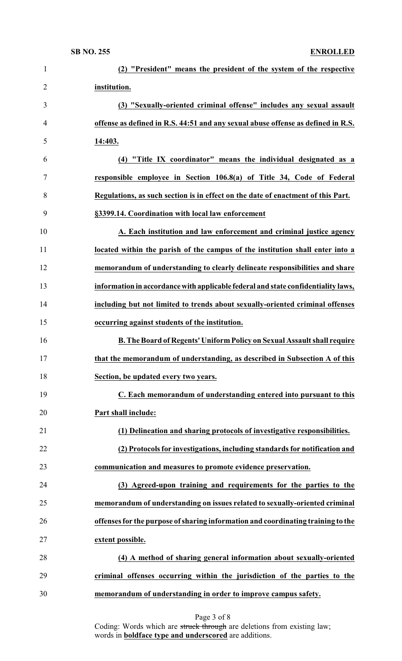| $\mathbf{1}$   | (2) "President" means the president of the system of the respective               |
|----------------|-----------------------------------------------------------------------------------|
| $\overline{2}$ | institution.                                                                      |
| 3              | (3) "Sexually-oriented criminal offense" includes any sexual assault              |
| 4              | offense as defined in R.S. 44:51 and any sexual abuse offense as defined in R.S.  |
| 5              | 14:403.                                                                           |
| 6              | (4) "Title IX coordinator" means the individual designated as a                   |
| 7              | responsible employee in Section 106.8(a) of Title 34, Code of Federal             |
| 8              | Regulations, as such section is in effect on the date of enactment of this Part.  |
| 9              | §3399.14. Coordination with local law enforcement                                 |
| 10             | A. Each institution and law enforcement and criminal justice agency               |
| 11             | located within the parish of the campus of the institution shall enter into a     |
| 12             | memorandum of understanding to clearly delineate responsibilities and share       |
| 13             | information in accordance with applicable federal and state confidentiality laws, |
| 14             | including but not limited to trends about sexually-oriented criminal offenses     |
| 15             | occurring against students of the institution.                                    |
| 16             | B. The Board of Regents' Uniform Policy on Sexual Assault shall require           |
| 17             | that the memorandum of understanding, as described in Subsection A of this        |
| 18             | Section, be updated every two years.                                              |
| 19             | C. Each memorandum of understanding entered into pursuant to this                 |
| 20             | Part shall include:                                                               |
| 21             | (1) Delineation and sharing protocols of investigative responsibilities.          |
| 22             | (2) Protocols for investigations, including standards for notification and        |
| 23             | communication and measures to promote evidence preservation.                      |
| 24             | (3) Agreed-upon training and requirements for the parties to the                  |
| 25             | memorandum of understanding on issues related to sexually-oriented criminal       |
| 26             | offenses for the purpose of sharing information and coordinating training to the  |
| 27             | extent possible.                                                                  |
| 28             | (4) A method of sharing general information about sexually-oriented               |
| 29             | criminal offenses occurring within the jurisdiction of the parties to the         |
| 30             | memorandum of understanding in order to improve campus safety.                    |

Page 3 of 8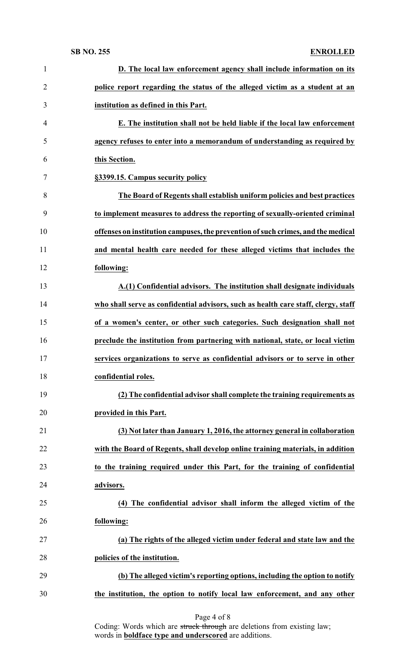### **SB NO. 255 ENROLLED**

| $\mathbf{1}$   | D. The local law enforcement agency shall include information on its               |
|----------------|------------------------------------------------------------------------------------|
| $\overline{2}$ | police report regarding the status of the alleged victim as a student at an        |
| 3              | institution as defined in this Part.                                               |
| $\overline{4}$ | E. The institution shall not be held liable if the local law enforcement           |
| 5              | agency refuses to enter into a memorandum of understanding as required by          |
| 6              | this Section.                                                                      |
| 7              | §3399.15. Campus security policy                                                   |
| 8              | The Board of Regents shall establish uniform policies and best practices           |
| 9              | to implement measures to address the reporting of sexually-oriented criminal       |
| 10             | offenses on institution campuses, the prevention of such crimes, and the medical   |
| 11             | and mental health care needed for these alleged victims that includes the          |
| 12             | following:                                                                         |
| 13             | A.(1) Confidential advisors. The institution shall designate individuals           |
| 14             | who shall serve as confidential advisors, such as health care staff, clergy, staff |
| 15             | of a women's center, or other such categories. Such designation shall not          |
| 16             | preclude the institution from partnering with national, state, or local victim     |
| 17             | services organizations to serve as confidential advisors or to serve in other      |
| 18             | confidential roles.                                                                |
| 19             | (2) The confidential advisor shall complete the training requirements as           |
| 20             | provided in this Part.                                                             |
| 21             | (3) Not later than January 1, 2016, the attorney general in collaboration          |
| 22             | with the Board of Regents, shall develop online training materials, in addition    |
| 23             | to the training required under this Part, for the training of confidential         |
| 24             | advisors.                                                                          |
| 25             | (4) The confidential advisor shall inform the alleged victim of the                |
| 26             | following:                                                                         |
| 27             | (a) The rights of the alleged victim under federal and state law and the           |
| 28             | policies of the institution.                                                       |
| 29             | (b) The alleged victim's reporting options, including the option to notify         |
| 30             | the institution, the option to notify local law enforcement, and any other         |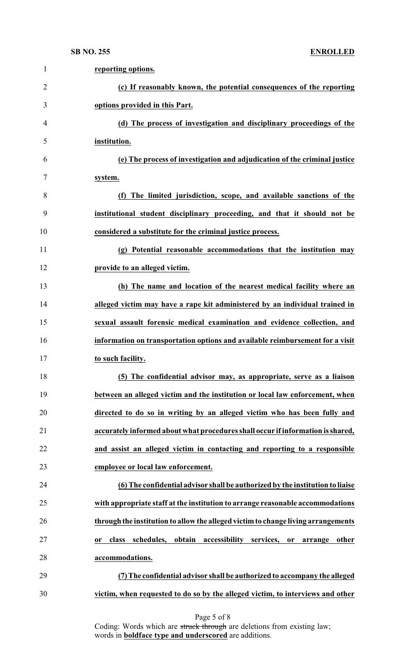| $\mathbf{1}$   | reporting options.                                                                              |
|----------------|-------------------------------------------------------------------------------------------------|
| $\overline{2}$ | (c) If reasonably known, the potential consequences of the reporting                            |
| 3              | options provided in this Part.                                                                  |
| 4              | (d) The process of investigation and disciplinary proceedings of the                            |
| 5              | institution.                                                                                    |
| 6              | (e) The process of investigation and adjudication of the criminal justice                       |
| 7              | system.                                                                                         |
| 8              | (f) The limited jurisdiction, scope, and available sanctions of the                             |
| 9              | institutional student disciplinary proceeding, and that it should not be                        |
| 10             | considered a substitute for the criminal justice process.                                       |
| 11             | (g) Potential reasonable accommodations that the institution may                                |
| 12             | provide to an alleged victim.                                                                   |
| 13             | (h) The name and location of the nearest medical facility where an                              |
| 14             | alleged victim may have a rape kit administered by an individual trained in                     |
| 15             | sexual assault forensic medical examination and evidence collection, and                        |
| 16             | information on transportation options and available reimbursement for a visit                   |
| 17             | to such facility.                                                                               |
| 18             | (5) The confidential advisor may, as appropriate, serve as a liaison                            |
| 19             | between an alleged victim and the institution or local law enforcement, when                    |
| 20             | directed to do so in writing by an alleged victim who has been fully and                        |
| 21             | accurately informed about what procedures shall occur if information is shared,                 |
| 22             | and assist an alleged victim in contacting and reporting to a responsible                       |
| 23             | employee or local law enforcement.                                                              |
| 24             | (6) The confidential advisor shall be authorized by the institution to liaise                   |
| 25             | with appropriate staff at the institution to arrange reasonable accommodations                  |
| 26             | through the institution to allow the alleged victim to change living arrangements               |
| 27             | obtain<br>accessibility services,<br>class<br>schedules,<br>other<br>or<br>arrange<br><b>or</b> |
| 28             | accommodations.                                                                                 |
| 29             | (7) The confidential advisor shall be authorized to accompany the alleged                       |
| 30             | victim, when requested to do so by the alleged victim, to interviews and other                  |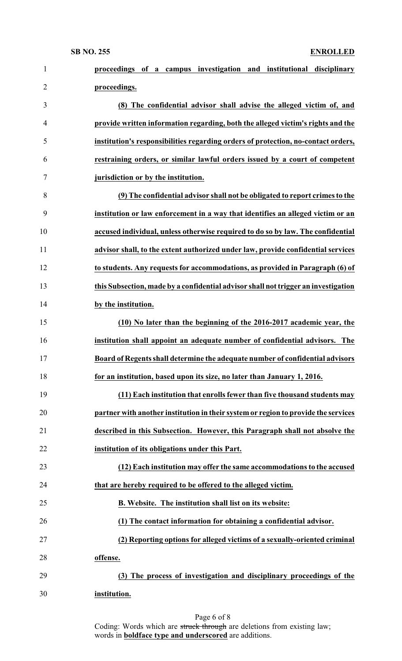| $\mathbf{1}$   | proceedings of a campus investigation and institutional disciplinary               |
|----------------|------------------------------------------------------------------------------------|
| $\overline{2}$ | proceedings.                                                                       |
| 3              | (8) The confidential advisor shall advise the alleged victim of, and               |
| $\overline{4}$ | provide written information regarding, both the alleged victim's rights and the    |
| 5              | institution's responsibilities regarding orders of protection, no-contact orders,  |
| 6              | restraining orders, or similar lawful orders issued by a court of competent        |
| $\tau$         | jurisdiction or by the institution.                                                |
| 8              | (9) The confidential advisor shall not be obligated to report crimes to the        |
| 9              | institution or law enforcement in a way that identifies an alleged victim or an    |
| 10             | accused individual, unless otherwise required to do so by law. The confidential    |
| 11             | advisor shall, to the extent authorized under law, provide confidential services   |
| 12             | to students. Any requests for accommodations, as provided in Paragraph (6) of      |
| 13             | this Subsection, made by a confidential advisor shall not trigger an investigation |
| 14             | by the institution.                                                                |
| 15             | (10) No later than the beginning of the 2016-2017 academic year, the               |
| 16             | institution shall appoint an adequate number of confidential advisors. The         |
| 17             | Board of Regents shall determine the adequate number of confidential advisors      |
| 18             | for an institution, based upon its size, no later than January 1, 2016.            |
| 19             | (11) Each institution that enrolls fewer than five thousand students may           |
| 20             | partner with another institution in their system or region to provide the services |
| 21             | described in this Subsection. However, this Paragraph shall not absolve the        |
| 22             | institution of its obligations under this Part.                                    |
| 23             | (12) Each institution may offer the same accommodations to the accused             |
| 24             | that are hereby required to be offered to the alleged victim.                      |
| 25             | B. Website. The institution shall list on its website:                             |
| 26             | (1) The contact information for obtaining a confidential advisor.                  |
| 27             | (2) Reporting options for alleged victims of a sexually-oriented criminal          |
| 28             | offense.                                                                           |
| 29             | (3) The process of investigation and disciplinary proceedings of the               |
| 30             | institution.                                                                       |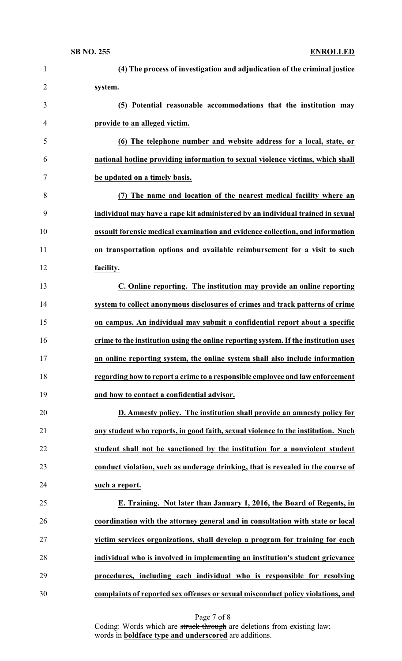| $\mathbf{1}$   | (4) The process of investigation and adjudication of the criminal justice           |
|----------------|-------------------------------------------------------------------------------------|
| $\overline{2}$ | system.                                                                             |
| 3              | (5) Potential reasonable accommodations that the institution may                    |
| 4              | provide to an alleged victim.                                                       |
| 5              | (6) The telephone number and website address for a local, state, or                 |
| 6              | national hotline providing information to sexual violence victims, which shall      |
| 7              | be updated on a timely basis.                                                       |
| 8              | (7) The name and location of the nearest medical facility where an                  |
| 9              | individual may have a rape kit administered by an individual trained in sexual      |
| 10             | assault forensic medical examination and evidence collection, and information       |
| 11             | on transportation options and available reimbursement for a visit to such           |
| 12             | facility.                                                                           |
| 13             | C. Online reporting. The institution may provide an online reporting                |
| 14             | system to collect anonymous disclosures of crimes and track patterns of crime       |
| 15             | on campus. An individual may submit a confidential report about a specific          |
| 16             | crime to the institution using the online reporting system. If the institution uses |
| 17             | an online reporting system, the online system shall also include information        |
| 18             | regarding how to report a crime to a responsible employee and law enforcement       |
| 19             | and how to contact a confidential advisor.                                          |
| 20             | D. Amnesty policy. The institution shall provide an amnesty policy for              |
| 21             | any student who reports, in good faith, sexual violence to the institution. Such    |
| 22             | student shall not be sanctioned by the institution for a nonviolent student         |
| 23             | conduct violation, such as underage drinking, that is revealed in the course of     |
| 24             | such a report.                                                                      |
| 25             | E. Training. Not later than January 1, 2016, the Board of Regents, in               |
| 26             | coordination with the attorney general and in consultation with state or local      |
| 27             | victim services organizations, shall develop a program for training for each        |
| 28             | individual who is involved in implementing an institution's student grievance       |
| 29             | procedures, including each individual who is responsible for resolving              |
| 30             | complaints of reported sex offenses or sexual misconduct policy violations, and     |

Page 7 of 8